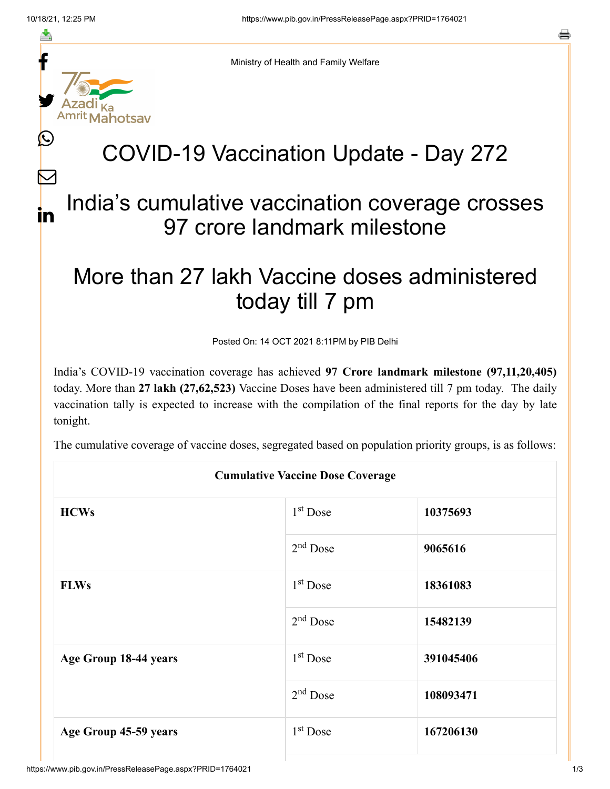f

≛

y.

Amrit Mahotsav

Ŀ

 $\bm{\nabla}$ 

in



## COVID-19 Vaccination Update - Day 272

## India's cumulative vaccination coverage crosses 97 crore landmark milestone

## More than 27 lakh Vaccine doses administered today till 7 pm

Posted On: 14 OCT 2021 8:11PM by PIB Delhi

India's COVID-19 vaccination coverage has achieved **97 Crore landmark milestone (97,11,20,405)** today. More than **27 lakh (27,62,523)** Vaccine Doses have been administered till 7 pm today. The daily vaccination tally is expected to increase with the compilation of the final reports for the day by late tonight.

The cumulative coverage of vaccine doses, segregated based on population priority groups, is as follows:

| <b>Cumulative Vaccine Dose Coverage</b> |                      |           |  |  |
|-----------------------------------------|----------------------|-----------|--|--|
| <b>HCWs</b>                             | $1st$ Dose           | 10375693  |  |  |
|                                         | $2nd$ Dose           | 9065616   |  |  |
| <b>FLWs</b>                             | $1st$ Dose           | 18361083  |  |  |
|                                         | $2nd$ Dose           | 15482139  |  |  |
| Age Group 18-44 years                   | $1st$ Dose           | 391045406 |  |  |
|                                         | $2nd$ Dose           | 108093471 |  |  |
| Age Group 45-59 years                   | 1 <sup>st</sup> Dose | 167206130 |  |  |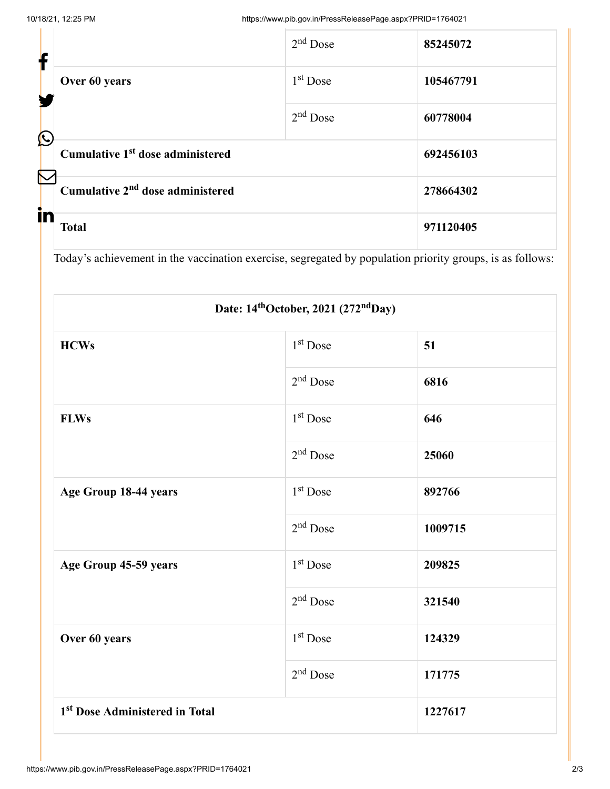| f                     |                                              | $2nd$ Dose | 85245072  |
|-----------------------|----------------------------------------------|------------|-----------|
|                       | Over 60 years                                | $1st$ Dose | 105467791 |
| $\bigcirc$            |                                              | $2nd$ Dose | 60778004  |
|                       | Cumulative 1 <sup>st</sup> dose administered |            | 692456103 |
| $\boldsymbol{\nabla}$ | Cumulative 2 <sup>nd</sup> dose administered | 278664302  |           |
|                       | in<br><b>Total</b>                           |            | 971120405 |

Today's achievement in the vaccination exercise, segregated by population priority groups, is as follows:

| Date: 14 <sup>th</sup> October, 2021 (272 <sup>nd</sup> Day) |                      |         |  |  |
|--------------------------------------------------------------|----------------------|---------|--|--|
| <b>HCWs</b>                                                  | 1 <sup>st</sup> Dose | 51      |  |  |
|                                                              | $2nd$ Dose           | 6816    |  |  |
| <b>FLWs</b>                                                  | 1 <sup>st</sup> Dose | 646     |  |  |
|                                                              | $2nd$ Dose           | 25060   |  |  |
| Age Group 18-44 years                                        | 1 <sup>st</sup> Dose | 892766  |  |  |
|                                                              | $2nd$ Dose           | 1009715 |  |  |
| Age Group 45-59 years                                        | 1 <sup>st</sup> Dose | 209825  |  |  |
|                                                              | $2nd$ Dose           | 321540  |  |  |
| Over 60 years                                                | 1 <sup>st</sup> Dose | 124329  |  |  |
|                                                              | $2nd$ Dose           | 171775  |  |  |
| 1 <sup>st</sup> Dose Administered in Total                   |                      | 1227617 |  |  |